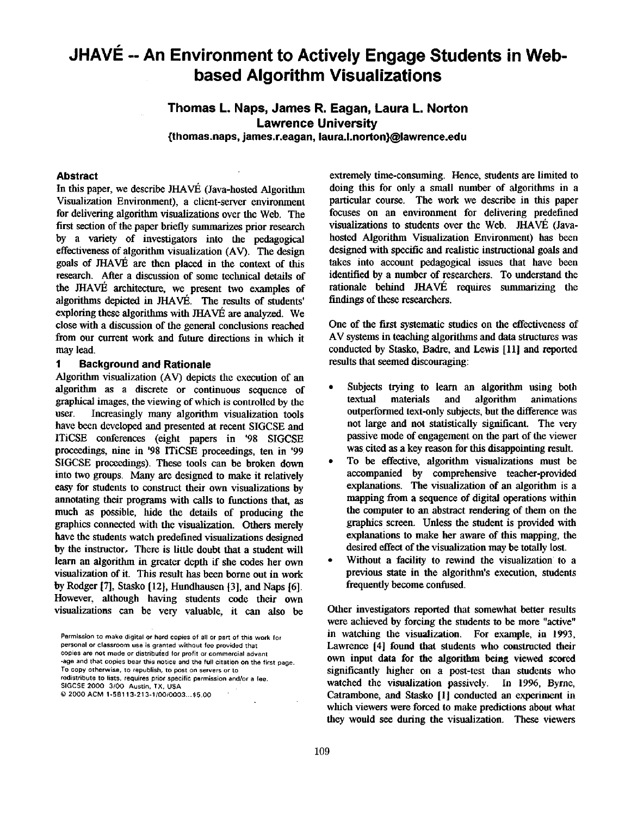# JHAVÉ -- An Environment to Actively Engage Students in Web**based Algorithm Visualizations**

**Thomas L. Naps, James R. Eagan, Laura L. Norton Lawrence University** 

**{thomas.naps, james.r.eagan, laura.l.norton}l~lawrence.edu** 

#### **Abstract**

In this paper, we describe JHAVÉ (Java-hosted Algorithm Visualization Environment), a client-server environment for delivering algorithm visualizations over the Web. The first section of the paper briefly summarizes prior research by a variety of investigators into the pedagogical effectiveness of algorithm visualization (AV). The design goals of JHAVE are then placed in the context of this research. After a discussion of some technical details of the JHAVE architecture, we present two examples of algorithms depicted in JHAVÉ. The results of students' exploring these algorithms with JHAVÉ are analyzed. We close with a discussion of the general conclusions reached from our current work and future directions in which it may lead.

#### **1 Background and Rationale**

Algorithm visualization (AV) depicts the execution of an algorithm as a discrete or continuous sequence of graphical images, the viewing of which is controlled by the user. Increasingly many algorithm visualization tools have been developed and presented at recent SIGCSE and ITiCSE conferences (eight papers in '98 SIGCSE proceedings, nine in '98 ITiCSE proceedings, ten in '99 SIGCSE proceedings). These tools can be broken down into two groups. Many are designed to make it relatively easy for students to construct their own visualizations by annotating their programs with calls to functions that, as much as possible, hide the details of producing the graphics connected with the visualization. Others merely have the students watch predefined visualizations designed by the instructor, There is little doubt that a student will learn an algorithm in greater depth if she codes her own visualization of it. This result has been borne out in work by Rodger [7], Stasko [12], Hundhausen [3], and Naps [6]. However, although having students code their own visualizations can be very valuable, it can also be

Permission to make digital or hard copies of all or part of this work for **personal** or classroom use is granted without fee provided that copies are not made or distributed for profit or commercial advant -age and that copies bear this notice and the full citation on the first page. To copy otherwise, to republish, to post on servers or to redistribute to lists, requires prior specific permission and/or a fee. SlGCSE 2000 3/00 Austin, TX, USA © 2000 ACM 1-58113-213-1/00/0003... \$ 5.00

extremely time-consuming. Hence, students are limited to doing this for only a small number of algorithms in a particular course. The work we describe in this paper focuses on an environment for delivering predefined visualizations to students over the Web. JHAVE (Javahosted Algorithm Visualization Environment) has been designed with specific and realistic instructional goals and takes into account pedagogical issues that have been identified by a number of researchers. To understand the rationale behind JHAVÉ requires summarizing the findings of these researchers.

One of the first systematic studies on the effectiveness of AV systems in teaching algorithms and data structures was conducted by Stasko, Badre, and Lewis [11] and reported results that seemed discouraging:

- Subjects trying to learn an algorithm using both textual materials and algorithm animations outperformed text-only subjects, but the difference was not large and not statistically significant. The very passive mode of engagement on the part of the viewer was cited as a key reason for this disappointing result.
- To be effective, algorithm visualizations must be accompanied by comprehensive teacher-provided explanations. The visualization of an algorithm is a mapping from a sequence of digital operations within the computer to an abstract rendering of them on the graphics screen. Unless the student is provided with explanations to make her aware of this mapping, the desired effect of the visualization may be totally lost.
- Without a facility to rewind the visualization to a previous state in the algorithm's execution, students frequently become confused.

Other investigators reported that somewhat better results were achieved by forcing the students to be more "active" in watching the visualization. For example, in 1993, Lawrence [4] found that students who constructed their own input data for the algorithm being viewed scored significantly higher on a post-test than students who watched the visualization passively. In 1996, Byrne, Catrambone, and Stasko [I] conducted an experiment in which viewers were forced to make predictions about what they would see during the visualization. These viewers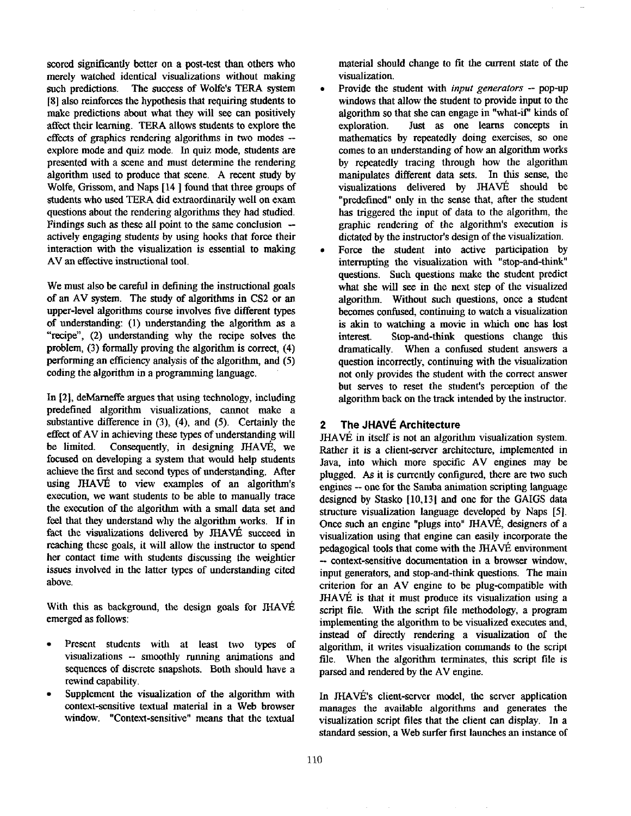scored significantly better on a post-test than others who merely watched identical visualizations without making such predictions. The success of Wolfe's TERA system [8] also reinforces the hypothesis that requiring students to make predictions about what they will see can positively affect their learning. TERA allows students to explore the effects of graphics rendering algorithms in two modes - explore mode and quiz mode. In quiz mode, students are presented with a scene and must determine the rendering algorithm used to produce that scene. A recent study by Wolfe, Grissom, and Naps [ 14 ] found that three groups of students who used TERA did extraordinarily well on exam questions about the rendering algorithms they had studied. Findings such as these all point to the same conclusion - actively engaging students by using hooks that force their interaction with the visualization is essential to making AV an effective instructional tool.

We must also be careful in defining the instructional goals of an AV system. The study of algorithms in CS2 or an upper-level algorithms course involves five different types of understanding: (1) understanding the algorithm as a "recipe", (2) understanding why the recipe solves the problem, (3) formally proving the algorithm is correct, (4) performing an efficiency analysis of the algorithm, and (5) coding the algorithm in a programming language.

In [2], deMarneffe argues that using technology, including predefined algorithm visualizations, cannot make a substantive difference in  $(3)$ ,  $(4)$ , and  $(5)$ . Certainly the effect of AV in achieving these types of understanding will be limited. Consequently, in designing JHAVE, we focused on developing a system that would help students achieve the first and second types of understanding. After using JHAVÉ to view examples of an algorithm's execution, we want students to be able to manually trace the execution of the algorithm with a small data set and feel that they understand why the algorithm works. If in fact the visualizations delivered by JHAVE succeed in reaching these goals, it will allow the instructor to spend **her** contact time with students discussing the weightier issues involved in the latter types of understanding cited above.

With this as background, the design goals for JHAVE emerged as follows:

- Present students with at least two types of visualizations -- smoothly running animations and sequences of discrete snapshots. Both should have a rewind capability.
- Supplement the visualization of the algorithm with context-sensitive textual material in a Web browser window. "Context-sensitive" means that the textual

material should change to fit the current state of the visualization.

- Provide the student with *input generators --* pop-up windows that allow the student to provide input to the algorithm so that she can engage in "what-if' kinds of exploration. Just as one learns concepts in mathematics by repeatedly doing exercises, so one comes to an understanding of how an algorithm works by repeatedly tracing through how the algorithm manipulates different data sets. In this sense, the visualizations delivered by JHAVÉ should be "predefined" only in the sense that, after the student has triggered the input of data to the algorithm, the graphic rendering of the algorithm's execution is dictated by the instructor's design of the visualization.
- Force the student into active participation by interrupting the visualization with "stop-and-think" questions. Such questions make the student predict what she will see in the next step of the visualized algorithm. Without such questions, once a student becomes confused, continuing to watch a visualization is akin to watching a movie in which one has lost interest. Stop-and-think questions change this dramatically. When a confused student answers a question incorrectly, continuing with the visualization not only provides the student with the correct answer but serves to reset the student's perception of the algorithm back on the track intended by the instructor.

## **2** The JHAVÉ Architecture

JHAVÉ in itself is not an algorithm visualization system. Rather it is a client-server architecture, implemented in Java, into which more specific AV engines may be plugged. As it is currently configured, there are two such engines - one for the Samba animation scripting language designed by Stasko [10,131 and one for the GAIGS data structure visualization language developed by Naps [5]. Once such an engine "plugs into" JHAVÉ, designers of a visualization using that engine can easily incorporate the pedagogical tools that come with the JHAV $E$  environment -- context-sensitive documentation in a browser window, input generators, and stop-and-think questions. The main criterion for an AV engine to be plug-compatible with  $JHAVE$  is that it must produce its visualization using a script file. With the script file methodology, a program implementing the algorithm to be visualized executes and, instead of directly rendering a visualization of the algorithm, it writes visualization commands to the script file. When the algorithm terminates, this script file is parsed and rendered by the AV engine.

In JHAVE's client-server model, the server application manages the available algorithms and generates the visualization script files that the client can display. In a standard session, a Web surfer first launches an instance of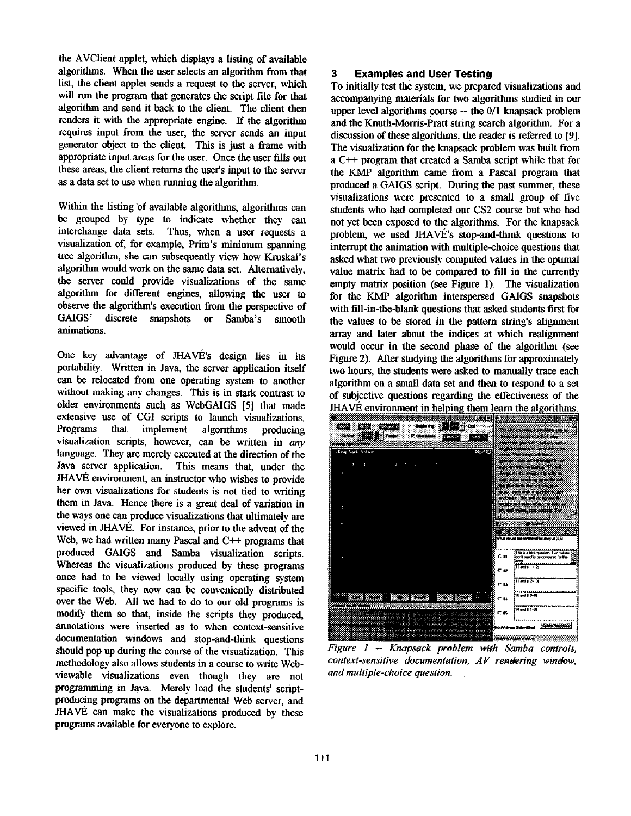the AVClient applet, which displays a listing of available algorithms. When the user selects an algorithm from that list, the client applet sends a request to the server, which will run the program that generates the script file for that algorithm and send it back to the client. The client then renders it with the appropriate engine. If the algorithm requires input from the user, the server sends an input generator object to the client. This is just a frame with appropriate input areas for the user. Once the user fills out these areas, the client returns the user's input to the server as a data set to use when running the algorithm.

Within the listing of available algorithms, algorithms can be grouped by type to indicate whether they can interchange data sets. Thus, when a user requests a visualization of, for example, Prim's minimum spanning tree algorithm, she can subsequently view how Kruskal's algorithm would work on the same data set. Alternatively, the server could provide visualizations of the same algorithm for different engines, allowing the user to observe the algorithm's execution from the perspective of GAIGS' discrete snapshots or Samba's smooth animations.

One key advantage of JHAVE's design lies in its portability. Written in Java, the server application itself can be relocated from one operating system to another without making any changes. This is in stark contrast to older environments such as WebGAIGS [5] that made extensive use of CGI scripts to launch visualizations. Programs that implement algorithms producing visualization scripts, however, can be written in *any*  language. They are merely executed at the direction of the Java server application. This means that, under the JHAVE environment, an instructor who wishes to provide her own visualizations for students is not tied to writing them in Java. Hence there is a great deal of variation in the ways one can produce visualizations that ultimately are viewed in JHAVE. For instance, prior to the advent of the Web, we had written many Pascal and C<sup>++</sup> programs that produced GAIGS and Samba visualization scripts. Whereas the visualizations produced by these programs once had to be viewed locally using operating system specific tools, they now can be conveniently distributed over the Web. All we had to do to our old programs is modify them so that, inside the scripts they produced, annotations were inserted as to when context-sensitive documentation windows and stop-and-think questions should pop up during the course of the visualization. This methodology also allows students in a course to write Webviewable visualizations even though they are not programming in Java. Merely load the students' scriptproducing programs on the departmental Web server, and  $JHAVE$  can make the visualizations produced by these programs available for everyone to explore.

#### **3 Examples and User Testing**

To initially test the system, we prepared visualizations and accompanying materials for two algorithms studied in our upper level algorithms course -- the 0/1 knapsack problem and the Knuth-Morris-Pratt string search algorithm. For a discussion of these algorithms, the reader is *referred* to [9]. The visualization for the knapsack problem was built from a C++ program that created a Samba script while that for the KMP algorithm came from a Pascal program that produced a GAIGS script. During the past summer, these visualizations *were* presented to a small group of five students who had completed our CS2 course but who had not yet been exposed to the algorithms. For the knapsack problem, we used JHAV $E$ 's stop-and-think questions to interrupt the animation with multiple-choice questions that asked what two previously computed values in the optimal value matrix had to be compared to fill in the currently empty matrix position (see Figure 1). The visualization for the KMP algorithm interspersed GAIGS snapshots with fill-in-the-blank questions that asked students first for the values to be stored in the pattern string's alignment array and later about the indices at which realignment would occur in the second phase of the algorithm (see Figure 2). After studying the algorithms for approximately two hours, the students *were* asked to manually trace each algorithm on a small data set and then to respond to a set of subjective questions regarding the effectiveness of the



*Figure 1 -- Knapsack problem with Samba controls, context-sensitive documentation, AV rendering window, and multiple-choice question.*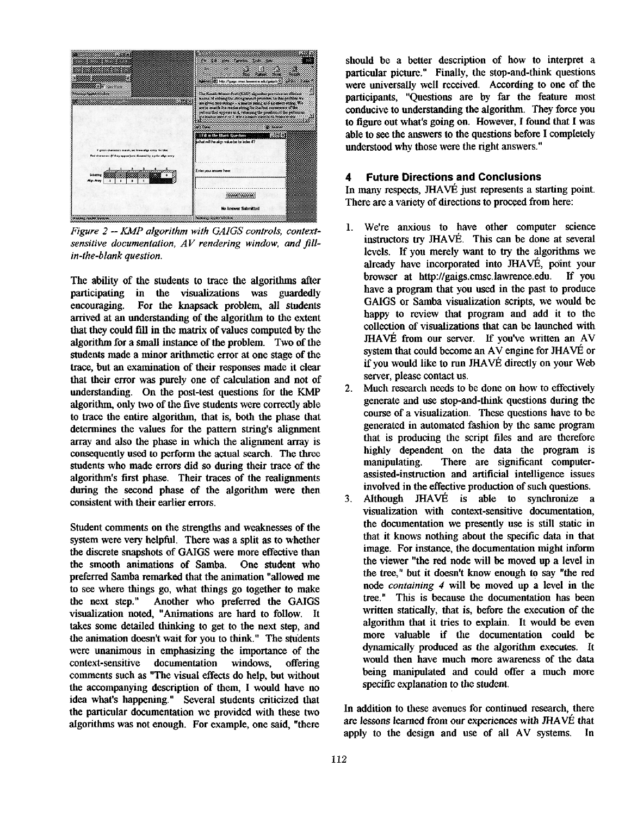

*Figure 2 -- IKMP algorithm with GAIGS controls, context=*  sensitive documentation, AV rendering window, and fill*in-the-blank question.* 

The ability of the students to trace the algorithms after participating in the visualizations was guardedly encouraging. For the knapsack problem, all students arrived at an understanding of the algorithm to the extent that they could fill in the matrix of values computed by the algorithm for a small instance of the problem. Two of the students made a minor arithmetic error at one stage of the trace, but an examination of their responses made it clear that their error was purely one of calculation and not of understanding. On the post-test questions for the KMP algorithm, only two of the five students were correctly able to trace the entire algorithm, that is, both the phase that determines the values for the pattern string's alignment array and also the phase in which the alignment array is consequently used to perform the actual search. The three students who made errors did so during their trace of the algorithm's first phase. Their traces of the realignments during the second phase of the algorithm were then consistent with their earlier errors.

Student comments on the strengths and weaknesses of the system were very helpful. There was a split as to whether the discrete snapshots of GAIGS were more effective than the smooth animations of Samba. One student who preferred Samba remarked that the animation "allowed me to see where things go, what things go together to make the next step." Another who preferred the GAIGS visualization noted, "Animations are hard to follow. It takes some detailed thinking to get to the next step, and the animation doesn't wait for you to think." The students were unanimous in emphasizing the importance of the context-sensitive documentation windows, offering comments such as "The visual effects do help, but without the accompanying description of them, I would have no idea what's happening." Several students criticized that the particular documentation we provided with these two algorithms was not enough. For example, one said, "there

should be a better description of how to interpret a particular picture." Finally, the stop-and-think questions were universally well received. According to one of the participants, "Questions are by far the feature most conducive to understanding the algorithm. They force you to figure out what's going on. However, I found that I was able to see the answers to the questions before I completely understood why those were the right answers."

# **4 Future Directions and Conclusions**

In many respects, JHAV $E$  just represents a starting point. There are a variety of directions to proceed from here:

- 1. We're anxious to have other computer science instructors try JHAVÉ. This can be done at several levels. If you merely want to try the algorithms we already have incorporated into JHAVÉ, point your browser at http://gaigs.cmsc.lawrence.edu. If you have a program that you used in the past to produce GAIGS or Samba visualization scripts, we would be happy to review that program and add it to the collection of visualizations that can be launched with JHAVÉ from our server. If you've written an AV system that could become an AV engine for JHAVE or if you would like to run JHAVÉ directly on your Web server, please contact us.
- 2. Much research needs to be done on how to effectively generate and use stop-and-think questions during the course of a visualization. These questions have to be generated in automated fashion by the same program that is producing the script files and are therefore highly dependent on the data the program is manipulating. There are significant computerassisted-instruction and artificial intelligence issues involved in the effective production of such questions.
- 3. Although JHAVE is able to synchronize a visualization with context-sensitive documentation, the documentation we presently use is still static in that it knows nothing about the specific data in that image. For instance, the documentation might inform the viewer "the red node will be moved up a level in the tree," but it doesn't know enough to say "the red node *containing 4* will be moved up a level in the tree." This is because the documentation has been written statically, that is, before the execution of the algorithm that it tries to explain. It would be even more valuable if the documentation could be dynamically produced as the algorithm executes. It would then have much more awareness of the data being manipulated and could offer a much more specific explanation to the student.

In addition to these avenues for continued research, there are lessons learned from our experiences with  $JHAVE$  that apply to the design and use of all AV systems. In